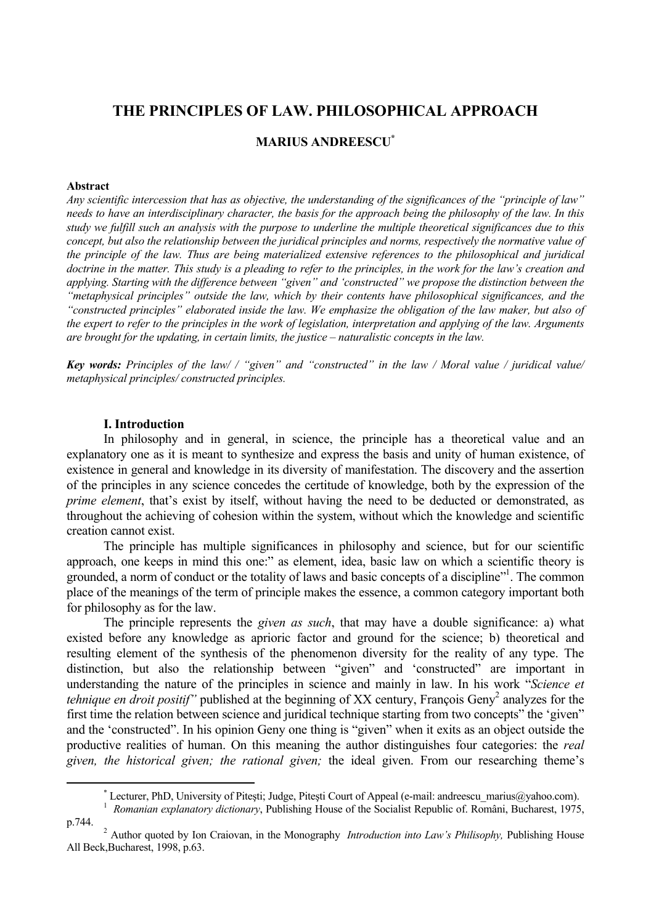# **THE PRINCIPLES OF LAW. PHILOSOPHICAL APPROACH**

### **MARIUS ANDREESCU\***

### **Abstract**

\*

*Any scientific intercession that has as objective, the understanding of the significances of the "principle of law" needs to have an interdisciplinary character, the basis for the approach being the philosophy of the law. In this study we fulfill such an analysis with the purpose to underline the multiple theoretical significances due to this concept, but also the relationship between the juridical principles and norms, respectively the normative value of the principle of the law. Thus are being materialized extensive references to the philosophical and juridical doctrine in the matter. This study is a pleading to refer to the principles, in the work for the law's creation and applying. Starting with the difference between "given" and 'constructed" we propose the distinction between the "metaphysical principles" outside the law, which by their contents have philosophical significances, and the "constructed principles" elaborated inside the law. We emphasize the obligation of the law maker, but also of the expert to refer to the principles in the work of legislation, interpretation and applying of the law. Arguments are brought for the updating, in certain limits, the justice – naturalistic concepts in the law.* 

*Key words: Principles of the law/ / "given" and "constructed" in the law / Moral value / juridical value/ metaphysical principles/ constructed principles.* 

#### **I. Introduction**

In philosophy and in general, in science, the principle has a theoretical value and an explanatory one as it is meant to synthesize and express the basis and unity of human existence, of existence in general and knowledge in its diversity of manifestation. The discovery and the assertion of the principles in any science concedes the certitude of knowledge, both by the expression of the *prime element*, that's exist by itself, without having the need to be deducted or demonstrated, as throughout the achieving of cohesion within the system, without which the knowledge and scientific creation cannot exist.

The principle has multiple significances in philosophy and science, but for our scientific approach, one keeps in mind this one:" as element, idea, basic law on which a scientific theory is grounded, a norm of conduct or the totality of laws and basic concepts of a discipline"<sup>1</sup>. The common place of the meanings of the term of principle makes the essence, a common category important both for philosophy as for the law.

The principle represents the *given as such*, that may have a double significance: a) what existed before any knowledge as aprioric factor and ground for the science; b) theoretical and resulting element of the synthesis of the phenomenon diversity for the reality of any type. The distinction, but also the relationship between "given" and 'constructed" are important in understanding the nature of the principles in science and mainly in law. In his work "*Science et*  tehnique en droit positif" published at the beginning of XX century, François Geny<sup>2</sup> analyzes for the first time the relation between science and juridical technique starting from two concepts" the 'given" and the 'constructed". In his opinion Geny one thing is "given" when it exits as an object outside the productive realities of human. On this meaning the author distinguishes four categories: the *real given, the historical given; the rational given;* the ideal given. From our researching theme's

Lecturer, PhD, University of Pitesti; Judge, Pitesti Court of Appeal (e-mail: andreescu\_marius@yahoo.com).

*Romanian explanatory dictionary*, Publishing House of the Socialist Republic of. Români, Bucharest, 1975, p.744.

<sup>&</sup>lt;sup>2</sup> Author quoted by Ion Craiovan, in the Monography *Introduction into Law's Philisophy*, Publishing House All Beck,Bucharest, 1998, p.63.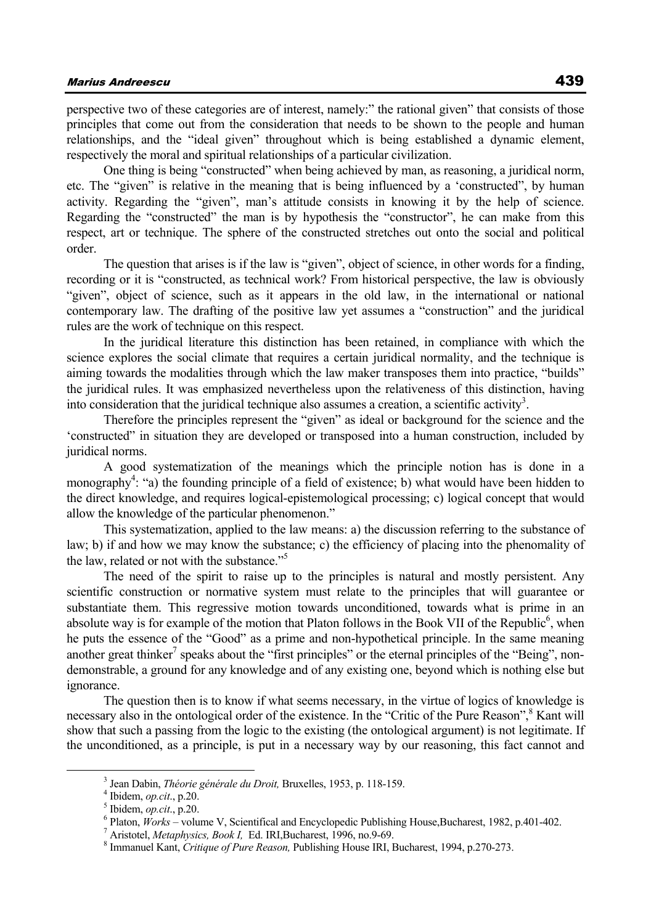perspective two of these categories are of interest, namely:" the rational given" that consists of those principles that come out from the consideration that needs to be shown to the people and human relationships, and the "ideal given" throughout which is being established a dynamic element, respectively the moral and spiritual relationships of a particular civilization.

One thing is being "constructed" when being achieved by man, as reasoning, a juridical norm, etc. The "given" is relative in the meaning that is being influenced by a 'constructed", by human activity. Regarding the "given", man's attitude consists in knowing it by the help of science. Regarding the "constructed" the man is by hypothesis the "constructor", he can make from this respect, art or technique. The sphere of the constructed stretches out onto the social and political order.

The question that arises is if the law is "given", object of science, in other words for a finding, recording or it is "constructed, as technical work? From historical perspective, the law is obviously "given", object of science, such as it appears in the old law, in the international or national contemporary law. The drafting of the positive law yet assumes a "construction" and the juridical rules are the work of technique on this respect.

In the juridical literature this distinction has been retained, in compliance with which the science explores the social climate that requires a certain juridical normality, and the technique is aiming towards the modalities through which the law maker transposes them into practice, "builds" the juridical rules. It was emphasized nevertheless upon the relativeness of this distinction, having into consideration that the juridical technique also assumes a creation, a scientific activity<sup>3</sup>.

Therefore the principles represent the "given" as ideal or background for the science and the 'constructed" in situation they are developed or transposed into a human construction, included by juridical norms.

A good systematization of the meanings which the principle notion has is done in a monography<sup>4</sup>: "a) the founding principle of a field of existence; b) what would have been hidden to the direct knowledge, and requires logical-epistemological processing; c) logical concept that would allow the knowledge of the particular phenomenon."

This systematization, applied to the law means: a) the discussion referring to the substance of law; b) if and how we may know the substance; c) the efficiency of placing into the phenomality of the law, related or not with the substance."<sup>5</sup>

The need of the spirit to raise up to the principles is natural and mostly persistent. Any scientific construction or normative system must relate to the principles that will guarantee or substantiate them. This regressive motion towards unconditioned, towards what is prime in an absolute way is for example of the motion that Platon follows in the Book VII of the Republic<sup>6</sup>, when he puts the essence of the "Good" as a prime and non-hypothetical principle. In the same meaning another great thinker<sup>7</sup> speaks about the "first principles" or the eternal principles of the "Being", nondemonstrable, a ground for any knowledge and of any existing one, beyond which is nothing else but ignorance.

The question then is to know if what seems necessary, in the virtue of logics of knowledge is necessary also in the ontological order of the existence. In the "Critic of the Pure Reason", <sup>8</sup> Kant will show that such a passing from the logic to the existing (the ontological argument) is not legitimate. If the unconditioned, as a principle, is put in a necessary way by our reasoning, this fact cannot and

 $\frac{1}{3}$ <sup>3</sup> Jean Dabin, *Théorie générale du Droit*, Bruxelles, 1953, p. 118-159.

 $<sup>4</sup>$  Ibidem, *op.cit.*, p.20.</sup>

 $<sup>5</sup>$  Ibidem, *op.cit.*, p.20.</sup>

<sup>&</sup>lt;sup>6</sup> Platon, *Works – volume V, Scientifical and Encyclopedic Publishing House,Bucharest, 1982, p.401-402.* 

Aristotel, *Metaphysics, Book I,* Ed. IRI,Bucharest, 1996, no.9-69. 8

<sup>&</sup>lt;sup>8</sup> Immanuel Kant, *Critique of Pure Reason*, Publishing House IRI, Bucharest, 1994, p.270-273.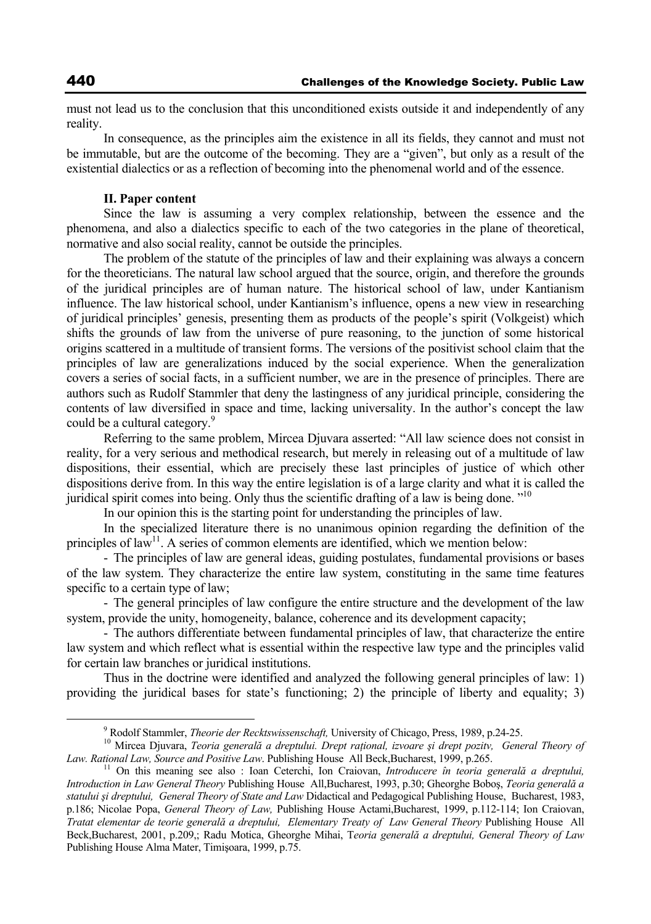must not lead us to the conclusion that this unconditioned exists outside it and independently of any reality.

In consequence, as the principles aim the existence in all its fields, they cannot and must not be immutable, but are the outcome of the becoming. They are a "given", but only as a result of the existential dialectics or as a reflection of becoming into the phenomenal world and of the essence.

### **II. Paper content**

Since the law is assuming a very complex relationship, between the essence and the phenomena, and also a dialectics specific to each of the two categories in the plane of theoretical, normative and also social reality, cannot be outside the principles.

The problem of the statute of the principles of law and their explaining was always a concern for the theoreticians. The natural law school argued that the source, origin, and therefore the grounds of the juridical principles are of human nature. The historical school of law, under Kantianism influence. The law historical school, under Kantianism's influence, opens a new view in researching of juridical principles' genesis, presenting them as products of the people's spirit (Volkgeist) which shifts the grounds of law from the universe of pure reasoning, to the junction of some historical origins scattered in a multitude of transient forms. The versions of the positivist school claim that the principles of law are generalizations induced by the social experience. When the generalization covers a series of social facts, in a sufficient number, we are in the presence of principles. There are authors such as Rudolf Stammler that deny the lastingness of any juridical principle, considering the contents of law diversified in space and time, lacking universality. In the author's concept the law could be a cultural category.<sup>9</sup>

Referring to the same problem, Mircea Djuvara asserted: "All law science does not consist in reality, for a very serious and methodical research, but merely in releasing out of a multitude of law dispositions, their essential, which are precisely these last principles of justice of which other dispositions derive from. In this way the entire legislation is of a large clarity and what it is called the juridical spirit comes into being. Only thus the scientific drafting of a law is being done. "10

In our opinion this is the starting point for understanding the principles of law.

In the specialized literature there is no unanimous opinion regarding the definition of the principles of  $law<sup>11</sup>$ . A series of common elements are identified, which we mention below:

- The principles of law are general ideas, guiding postulates, fundamental provisions or bases of the law system. They characterize the entire law system, constituting in the same time features specific to a certain type of law;

- The general principles of law configure the entire structure and the development of the law system, provide the unity, homogeneity, balance, coherence and its development capacity;

- The authors differentiate between fundamental principles of law, that characterize the entire law system and which reflect what is essential within the respective law type and the principles valid for certain law branches or juridical institutions.

Thus in the doctrine were identified and analyzed the following general principles of law: 1) providing the juridical bases for state's functioning; 2) the principle of liberty and equality; 3)

 $\frac{1}{\sqrt{9}}$ 

<sup>&</sup>lt;sup>9</sup> Rodolf Stammler, *Theorie der Recktswissenschaft*, University of Chicago, Press, 1989, p.24-25.<br><sup>10</sup> Mircea Djuvara, *Teoria generală a dreptului. Drept rațional, izvoare și drept pozitv, General Theory of Law. Ration* 

 $\frac{11}{11}$  On this meaning see also : Ioan Ceterchi, Ion Craiovan, *Introducere în teoria generală a dreptului*, *Introduction in Law General Theory* Publishing House All,Bucharest, 1993, p.30; Gheorghe Boboş, *Teoria generală a statului şi dreptului, General Theory of State and Law* Didactical and Pedagogical Publishing House, Bucharest, 1983, p.186; Nicolae Popa, *General Theory of Law,* Publishing House Actami,Bucharest, 1999, p.112-114; Ion Craiovan, *Tratat elementar de teorie generală a dreptului, Elementary Treaty of Law General Theory* Publishing House All Beck,Bucharest, 2001, p.209,; Radu Motica, Gheorghe Mihai, T*eoria generală a dreptului, General Theory of Law*  Publishing House Alma Mater, Timişoara, 1999, p.75.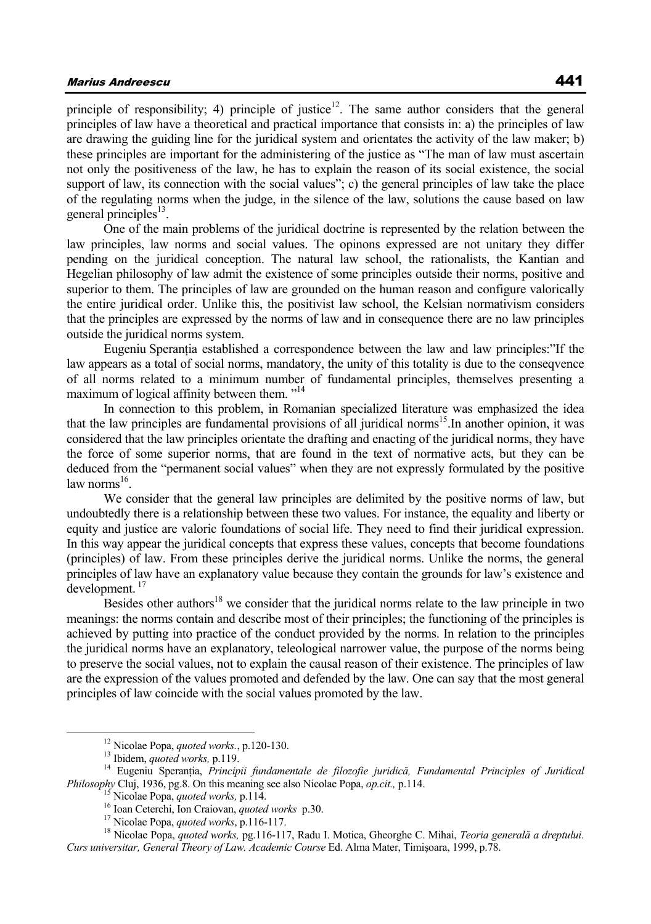principle of responsibility; 4) principle of justice<sup>12</sup>. The same author considers that the general principles of law have a theoretical and practical importance that consists in: a) the principles of law are drawing the guiding line for the juridical system and orientates the activity of the law maker; b) these principles are important for the administering of the justice as "The man of law must ascertain not only the positiveness of the law, he has to explain the reason of its social existence, the social support of law, its connection with the social values"; c) the general principles of law take the place of the regulating norms when the judge, in the silence of the law, solutions the cause based on law general principles $^{13}$ .

One of the main problems of the juridical doctrine is represented by the relation between the law principles, law norms and social values. The opinons expressed are not unitary they differ pending on the juridical conception. The natural law school, the rationalists, the Kantian and Hegelian philosophy of law admit the existence of some principles outside their norms, positive and superior to them. The principles of law are grounded on the human reason and configure valorically the entire juridical order. Unlike this, the positivist law school, the Kelsian normativism considers that the principles are expressed by the norms of law and in consequence there are no law principles outside the juridical norms system.

Eugeniu Sperantia established a correspondence between the law and law principles: "If the law appears as a total of social norms, mandatory, the unity of this totality is due to the conseqvence of all norms related to a minimum number of fundamental principles, themselves presenting a maximum of logical affinity between them. "<sup>14</sup>

In connection to this problem, in Romanian specialized literature was emphasized the idea that the law principles are fundamental provisions of all juridical norms<sup>15</sup>. In another opinion, it was considered that the law principles orientate the drafting and enacting of the juridical norms, they have the force of some superior norms, that are found in the text of normative acts, but they can be deduced from the "permanent social values" when they are not expressly formulated by the positive law norms $^{16}$ .

We consider that the general law principles are delimited by the positive norms of law, but undoubtedly there is a relationship between these two values. For instance, the equality and liberty or equity and justice are valoric foundations of social life. They need to find their juridical expression. In this way appear the juridical concepts that express these values, concepts that become foundations (principles) of law. From these principles derive the juridical norms. Unlike the norms, the general principles of law have an explanatory value because they contain the grounds for law's existence and development. 17

Besides other authors<sup>18</sup> we consider that the juridical norms relate to the law principle in two meanings: the norms contain and describe most of their principles; the functioning of the principles is achieved by putting into practice of the conduct provided by the norms. In relation to the principles the juridical norms have an explanatory, teleological narrower value, the purpose of the norms being to preserve the social values, not to explain the causal reason of their existence. The principles of law are the expression of the values promoted and defended by the law. One can say that the most general principles of law coincide with the social values promoted by the law.

*Curs universitar, General Theory of Law. Academic Course* Ed. Alma Mater, Timişoara, 1999, p.78.

<sup>&</sup>lt;sup>12</sup> Nicolae Popa, *quoted works.*, p.120-130.<br><sup>13</sup> Ibidem, *quoted works*, p.119.<br><sup>14</sup> Eugeniu Speranția, *Principii fundamentale de filozofie juridică, Fundamental Principles of Juridical Philosophy* Cluj, 1936, pg.8. On this meaning see also Nicolae Popa, *op.cit.*, p.114.<br><sup>15</sup> Nicolae Popa, *quoted works*, p.114.<br><sup>16</sup> Ioan Ceterchi, Ion Craiovan, *quoted works* p.30.<br><sup>17</sup> Nicolae Popa, *quoted works*, p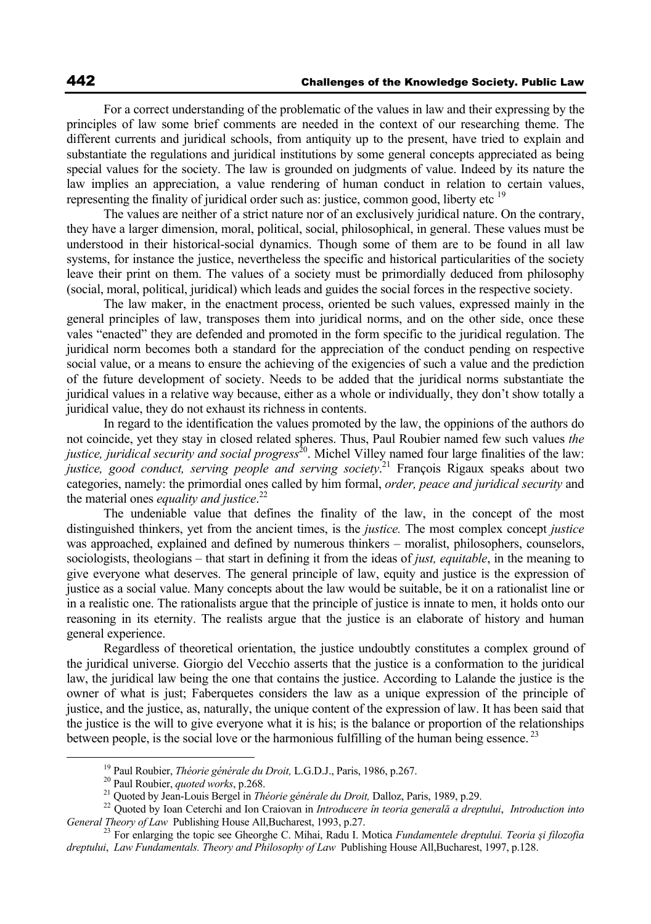For a correct understanding of the problematic of the values in law and their expressing by the principles of law some brief comments are needed in the context of our researching theme. The different currents and juridical schools, from antiquity up to the present, have tried to explain and substantiate the regulations and juridical institutions by some general concepts appreciated as being special values for the society. The law is grounded on judgments of value. Indeed by its nature the law implies an appreciation, a value rendering of human conduct in relation to certain values. representing the finality of juridical order such as: justice, common good, liberty etc  $19$ 

The values are neither of a strict nature nor of an exclusively juridical nature. On the contrary, they have a larger dimension, moral, political, social, philosophical, in general. These values must be understood in their historical-social dynamics. Though some of them are to be found in all law systems, for instance the justice, nevertheless the specific and historical particularities of the society leave their print on them. The values of a society must be primordially deduced from philosophy (social, moral, political, juridical) which leads and guides the social forces in the respective society.

The law maker, in the enactment process, oriented be such values, expressed mainly in the general principles of law, transposes them into juridical norms, and on the other side, once these vales "enacted" they are defended and promoted in the form specific to the juridical regulation. The juridical norm becomes both a standard for the appreciation of the conduct pending on respective social value, or a means to ensure the achieving of the exigencies of such a value and the prediction of the future development of society. Needs to be added that the juridical norms substantiate the juridical values in a relative way because, either as a whole or individually, they don't show totally a juridical value, they do not exhaust its richness in contents.

In regard to the identification the values promoted by the law, the oppinions of the authors do not coincide, yet they stay in closed related spheres. Thus, Paul Roubier named few such values *the justice, juridical security and social progress*<sup>20</sup>. Michel Villey named four large finalities of the law: *justice, good conduct, serving people and serving society*. 21 François Rigaux speaks about two categories, namely: the primordial ones called by him formal, *order, peace and juridical security* and the material ones *equality and justice*. 22

The undeniable value that defines the finality of the law, in the concept of the most distinguished thinkers, yet from the ancient times, is the *justice.* The most complex concept *justice* was approached, explained and defined by numerous thinkers – moralist, philosophers, counselors, sociologists, theologians – that start in defining it from the ideas of *just, equitable*, in the meaning to give everyone what deserves. The general principle of law, equity and justice is the expression of justice as a social value. Many concepts about the law would be suitable, be it on a rationalist line or in a realistic one. The rationalists argue that the principle of justice is innate to men, it holds onto our reasoning in its eternity. The realists argue that the justice is an elaborate of history and human general experience.

Regardless of theoretical orientation, the justice undoubtly constitutes a complex ground of the juridical universe. Giorgio del Vecchio asserts that the justice is a conformation to the juridical law, the juridical law being the one that contains the justice. According to Lalande the justice is the owner of what is just; Faberquetes considers the law as a unique expression of the principle of justice, and the justice, as, naturally, the unique content of the expression of law. It has been said that the justice is the will to give everyone what it is his; is the balance or proportion of the relationships between people, is the social love or the harmonious fulfilling of the human being essence.  $^{23}$ 

<sup>&</sup>lt;sup>19</sup> Paul Roubier, *Théorie générale du Droit*, L.G.D.J., Paris, 1986, p.267.<br><sup>20</sup> Paul Roubier, *quoted works*, p.268.<br><sup>21</sup> Quoted by Jean-Louis Bergel in *Théorie générale du Droit*, Dalloz, Paris, 1989, p.29.<br><sup>22</sup> Quot *General Theory of Law* Publishing House All,Bucharest, 1993, p.27. 23 For enlarging the topic see Gheorghe C. Mihai, Radu I. Motica *Fundamentele dreptului. Teoria şi filozofia* 

*dreptului*, *Law Fundamentals. Theory and Philosophy of Law* Publishing House All,Bucharest, 1997, p.128.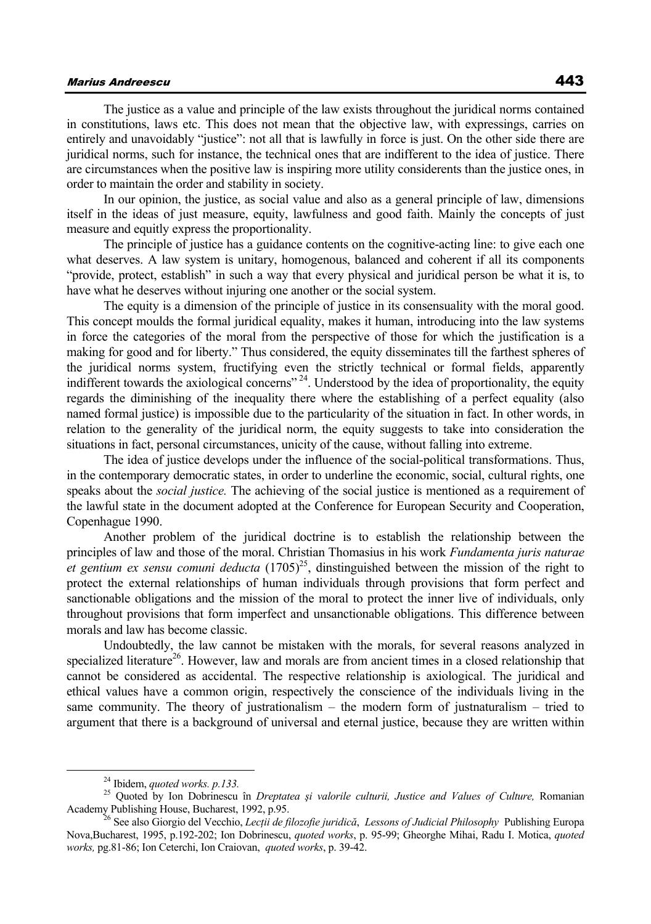The justice as a value and principle of the law exists throughout the juridical norms contained in constitutions, laws etc. This does not mean that the objective law, with expressings, carries on entirely and unavoidably "justice": not all that is lawfully in force is just. On the other side there are juridical norms, such for instance, the technical ones that are indifferent to the idea of justice. There are circumstances when the positive law is inspiring more utility considerents than the justice ones, in order to maintain the order and stability in society.

In our opinion, the justice, as social value and also as a general principle of law, dimensions itself in the ideas of just measure, equity, lawfulness and good faith. Mainly the concepts of just measure and equitly express the proportionality.

The principle of justice has a guidance contents on the cognitive-acting line: to give each one what deserves. A law system is unitary, homogenous, balanced and coherent if all its components "provide, protect, establish" in such a way that every physical and juridical person be what it is, to have what he deserves without injuring one another or the social system.

The equity is a dimension of the principle of justice in its consensuality with the moral good. This concept moulds the formal juridical equality, makes it human, introducing into the law systems in force the categories of the moral from the perspective of those for which the justification is a making for good and for liberty." Thus considered, the equity disseminates till the farthest spheres of the juridical norms system, fructifying even the strictly technical or formal fields, apparently indifferent towards the axiological concerns" 24. Understood by the idea of proportionality, the equity regards the diminishing of the inequality there where the establishing of a perfect equality (also named formal justice) is impossible due to the particularity of the situation in fact. In other words, in relation to the generality of the juridical norm, the equity suggests to take into consideration the situations in fact, personal circumstances, unicity of the cause, without falling into extreme.

The idea of justice develops under the influence of the social-political transformations. Thus, in the contemporary democratic states, in order to underline the economic, social, cultural rights, one speaks about the *social justice*. The achieving of the social justice is mentioned as a requirement of the lawful state in the document adopted at the Conference for European Security and Cooperation, Copenhague 1990.

Another problem of the juridical doctrine is to establish the relationship between the principles of law and those of the moral. Christian Thomasius in his work *Fundamenta juris naturae*  et gentium ex sensu comuni deducta (1705)<sup>25</sup>, dinstinguished between the mission of the right to protect the external relationships of human individuals through provisions that form perfect and sanctionable obligations and the mission of the moral to protect the inner live of individuals, only throughout provisions that form imperfect and unsanctionable obligations. This difference between morals and law has become classic.

Undoubtedly, the law cannot be mistaken with the morals, for several reasons analyzed in specialized literature<sup>26</sup>. However, law and morals are from ancient times in a closed relationship that cannot be considered as accidental. The respective relationship is axiological. The juridical and ethical values have a common origin, respectively the conscience of the individuals living in the same community. The theory of justrationalism – the modern form of justnaturalism – tried to argument that there is a background of universal and eternal justice, because they are written within

 <sup>24</sup> Ibidem, *quoted works. p.133.* 25 Quoted by Ion Dobrinescu în *Dreptatea şi valorile culturii, Justice and Values of Culture,* Romanian Academy Publishing House, Bucharest, 1992, p.95. 26 See also Giorgio del Vecchio, *Lecţii de filozofie juridică*, *Lessons of Judicial Philosophy* Publishing Europa

Nova,Bucharest, 1995, p.192-202; Ion Dobrinescu, *quoted works*, p. 95-99; Gheorghe Mihai, Radu I. Motica, *quoted works,* pg.81-86; Ion Ceterchi, Ion Craiovan, *quoted works*, p. 39-42.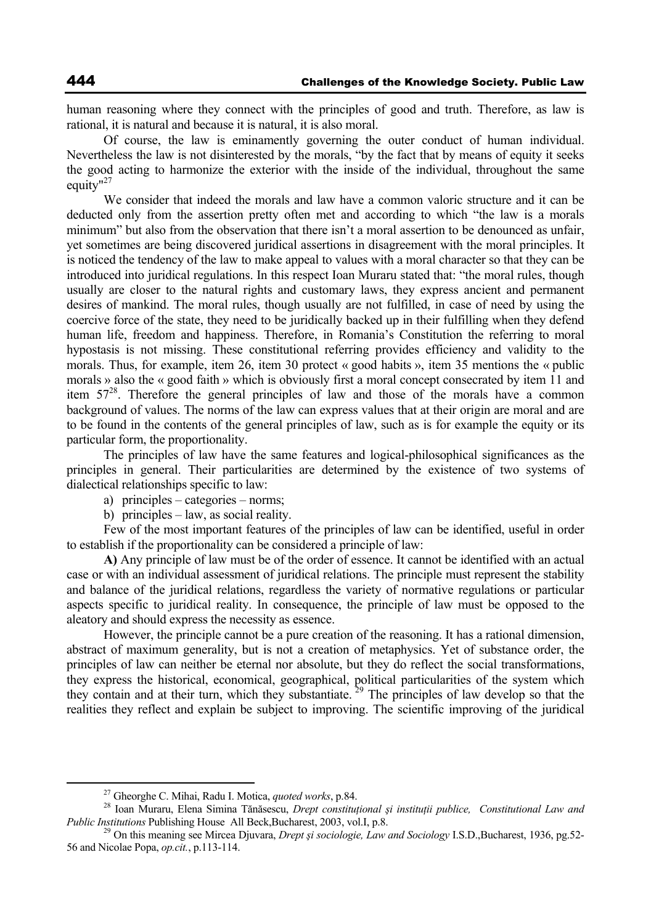human reasoning where they connect with the principles of good and truth. Therefore, as law is rational, it is natural and because it is natural, it is also moral.

Of course, the law is eminamently governing the outer conduct of human individual. Nevertheless the law is not disinterested by the morals, "by the fact that by means of equity it seeks the good acting to harmonize the exterior with the inside of the individual, throughout the same equity"<sup>27</sup>

We consider that indeed the morals and law have a common valoric structure and it can be deducted only from the assertion pretty often met and according to which "the law is a morals minimum" but also from the observation that there isn't a moral assertion to be denounced as unfair, yet sometimes are being discovered juridical assertions in disagreement with the moral principles. It is noticed the tendency of the law to make appeal to values with a moral character so that they can be introduced into juridical regulations. In this respect Ioan Muraru stated that: "the moral rules, though usually are closer to the natural rights and customary laws, they express ancient and permanent desires of mankind. The moral rules, though usually are not fulfilled, in case of need by using the coercive force of the state, they need to be juridically backed up in their fulfilling when they defend human life, freedom and happiness. Therefore, in Romania's Constitution the referring to moral hypostasis is not missing. These constitutional referring provides efficiency and validity to the morals. Thus, for example, item 26, item 30 protect « good habits », item 35 mentions the « public morals » also the « good faith » which is obviously first a moral concept consecrated by item 11 and item  $57<sup>28</sup>$ . Therefore the general principles of law and those of the morals have a common background of values. The norms of the law can express values that at their origin are moral and are to be found in the contents of the general principles of law, such as is for example the equity or its particular form, the proportionality.

The principles of law have the same features and logical-philosophical significances as the principles in general. Their particularities are determined by the existence of two systems of dialectical relationships specific to law:

- a) principles categories norms;
- b) principles law, as social reality.

Few of the most important features of the principles of law can be identified, useful in order to establish if the proportionality can be considered a principle of law:

**A)** Any principle of law must be of the order of essence. It cannot be identified with an actual case or with an individual assessment of juridical relations. The principle must represent the stability and balance of the juridical relations, regardless the variety of normative regulations or particular aspects specific to juridical reality. In consequence, the principle of law must be opposed to the aleatory and should express the necessity as essence.

However, the principle cannot be a pure creation of the reasoning. It has a rational dimension, abstract of maximum generality, but is not a creation of metaphysics. Yet of substance order, the principles of law can neither be eternal nor absolute, but they do reflect the social transformations, they express the historical, economical, geographical, political particularities of the system which they contain and at their turn, which they substantiate.<sup>29</sup> The principles of law develop so that the realities they reflect and explain be subject to improving. The scientific improving of the juridical

 <sup>27</sup> Gheorghe C. Mihai, Radu I. Motica, *quoted works*, p.84. 28 Ioan Muraru, Elena Simina Tănăsescu, *Drept constituţional şi instituţii publice, Constitutional Law and* 

<sup>&</sup>lt;sup>29</sup> On this meaning see Mircea Djuvara, *Drept și sociologie, Law and Sociology I.S.D.*,Bucharest, 1936, pg.52-56 and Nicolae Popa, *op.cit.*, p.113-114.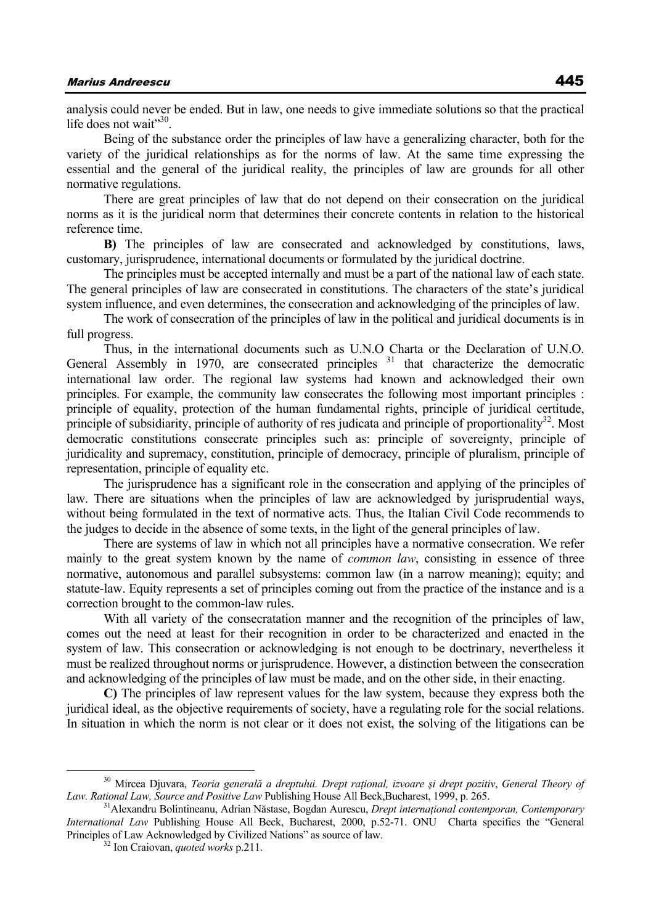analysis could never be ended. But in law, one needs to give immediate solutions so that the practical life does not wait"<sup>30</sup>

Being of the substance order the principles of law have a generalizing character, both for the variety of the juridical relationships as for the norms of law. At the same time expressing the essential and the general of the juridical reality, the principles of law are grounds for all other normative regulations.

There are great principles of law that do not depend on their consecration on the juridical norms as it is the juridical norm that determines their concrete contents in relation to the historical reference time.

**B)** The principles of law are consecrated and acknowledged by constitutions, laws, customary, jurisprudence, international documents or formulated by the juridical doctrine.

The principles must be accepted internally and must be a part of the national law of each state. The general principles of law are consecrated in constitutions. The characters of the state's juridical system influence, and even determines, the consecration and acknowledging of the principles of law.

The work of consecration of the principles of law in the political and juridical documents is in full progress.

Thus, in the international documents such as U.N.O Charta or the Declaration of U.N.O. General Assembly in 1970, are consecrated principles <sup>31</sup> that characterize the democratic international law order. The regional law systems had known and acknowledged their own principles. For example, the community law consecrates the following most important principles : principle of equality, protection of the human fundamental rights, principle of juridical certitude, principle of subsidiarity, principle of authority of res judicata and principle of proportionality $32$ . Most democratic constitutions consecrate principles such as: principle of sovereignty, principle of juridicality and supremacy, constitution, principle of democracy, principle of pluralism, principle of representation, principle of equality etc.

The jurisprudence has a significant role in the consecration and applying of the principles of law. There are situations when the principles of law are acknowledged by jurisprudential ways, without being formulated in the text of normative acts. Thus, the Italian Civil Code recommends to the judges to decide in the absence of some texts, in the light of the general principles of law.

There are systems of law in which not all principles have a normative consecration. We refer mainly to the great system known by the name of *common law*, consisting in essence of three normative, autonomous and parallel subsystems: common law (in a narrow meaning); equity; and statute-law. Equity represents a set of principles coming out from the practice of the instance and is a correction brought to the common-law rules.

With all variety of the consecratation manner and the recognition of the principles of law, comes out the need at least for their recognition in order to be characterized and enacted in the system of law. This consecration or acknowledging is not enough to be doctrinary, nevertheless it must be realized throughout norms or jurisprudence. However, a distinction between the consecration and acknowledging of the principles of law must be made, and on the other side, in their enacting.

**C)** The principles of law represent values for the law system, because they express both the juridical ideal, as the objective requirements of society, have a regulating role for the social relations. In situation in which the norm is not clear or it does not exist, the solving of the litigations can be

<sup>&</sup>lt;sup>30</sup> Mircea Djuvara, *Teoria generală a dreptului. Drept rațional, izvoare și drept pozitiv, General Theory of Law. Rational Law. Source and Positive Law Publishing House All Beck.Bucharest, 1999, p. 265.* 

<sup>&</sup>lt;sup>31</sup> Alexandru Bolintineanu, Adrian Năstase, Bogdan Aurescu, *Drept internațional contemporan, Contemporary International Law* Publishing House All Beck, Bucharest, 2000, p.52-71. ONU Charta specifies the "General Principles of Law Acknowledged by Civilized Nations" as source of law. 32 Ion Craiovan, *quoted works* p.211.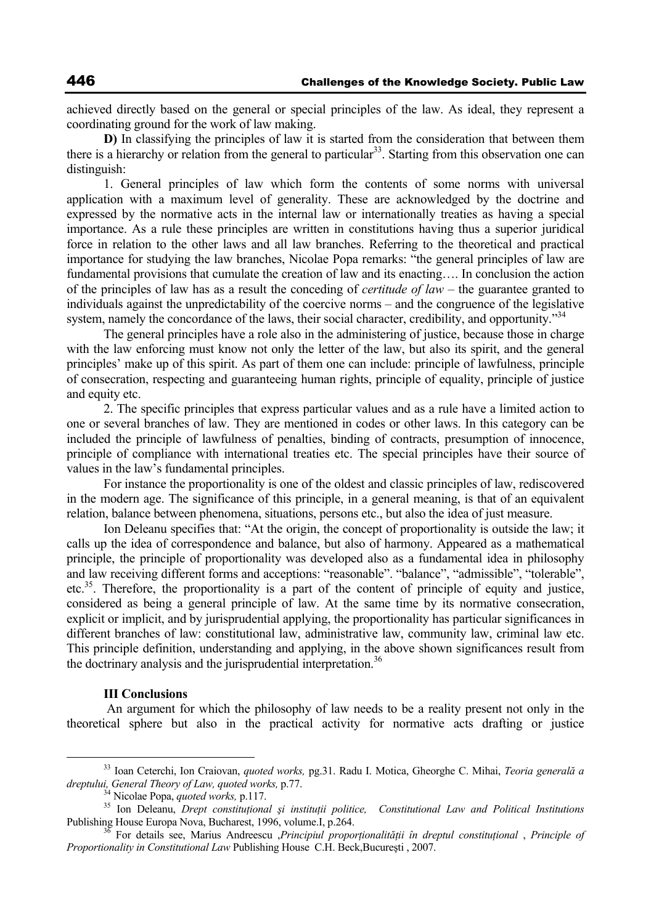achieved directly based on the general or special principles of the law. As ideal, they represent a coordinating ground for the work of law making.

**D)** In classifying the principles of law it is started from the consideration that between them there is a hierarchy or relation from the general to particular<sup>33</sup>. Starting from this observation one can distinguish:

1. General principles of law which form the contents of some norms with universal application with a maximum level of generality. These are acknowledged by the doctrine and expressed by the normative acts in the internal law or internationally treaties as having a special importance. As a rule these principles are written in constitutions having thus a superior juridical force in relation to the other laws and all law branches. Referring to the theoretical and practical importance for studying the law branches, Nicolae Popa remarks: "the general principles of law are fundamental provisions that cumulate the creation of law and its enacting…. In conclusion the action of the principles of law has as a result the conceding of *certitude of law –* the guarantee granted to individuals against the unpredictability of the coercive norms – and the congruence of the legislative system, namely the concordance of the laws, their social character, credibility, and opportunity."<sup>34</sup>

The general principles have a role also in the administering of justice, because those in charge with the law enforcing must know not only the letter of the law, but also its spirit, and the general principles' make up of this spirit. As part of them one can include: principle of lawfulness, principle of consecration, respecting and guaranteeing human rights, principle of equality, principle of justice and equity etc.

2. The specific principles that express particular values and as a rule have a limited action to one or several branches of law. They are mentioned in codes or other laws. In this category can be included the principle of lawfulness of penalties, binding of contracts, presumption of innocence, principle of compliance with international treaties etc. The special principles have their source of values in the law's fundamental principles.

For instance the proportionality is one of the oldest and classic principles of law, rediscovered in the modern age. The significance of this principle, in a general meaning, is that of an equivalent relation, balance between phenomena, situations, persons etc., but also the idea of just measure.

Ion Deleanu specifies that: "At the origin, the concept of proportionality is outside the law; it calls up the idea of correspondence and balance, but also of harmony. Appeared as a mathematical principle, the principle of proportionality was developed also as a fundamental idea in philosophy and law receiving different forms and acceptions: "reasonable". "balance", "admissible", "tolerable",  $etc.$ <sup>35</sup>. Therefore, the proportionality is a part of the content of principle of equity and justice, considered as being a general principle of law. At the same time by its normative consecration, explicit or implicit, and by jurisprudential applying, the proportionality has particular significances in different branches of law: constitutional law, administrative law, community law, criminal law etc. This principle definition, understanding and applying, in the above shown significances result from the doctrinary analysis and the jurisprudential interpretation.<sup>36</sup>

### **III Conclusions**

 An argument for which the philosophy of law needs to be a reality present not only in the theoretical sphere but also in the practical activity for normative acts drafting or justice

 <sup>33</sup> Ioan Ceterchi, Ion Craiovan, *quoted works,* pg.31. Radu I. Motica, Gheorghe C. Mihai, *Teoria generală<sup>a</sup>* dreptului, General Theory of Law, quoted works, p.77.<br><sup>34</sup> Nicolae Popa, quoted works, p.117.<br><sup>35</sup> Ion Deleanu, *Drept constitutional și instituții politice*, *Constitutional Law and Political Institutions* 

Publishing House Europa Nova, Bucharest, 1996, volume.I, p.264.<br><sup>36</sup> For details see, Marius Andreescu *Principiul proportionalitătii în dreptul constitutional*, *Principle of* 

*Proportionality in Constitutional Law* Publishing House C.H. Beck,Bucureşti , 2007.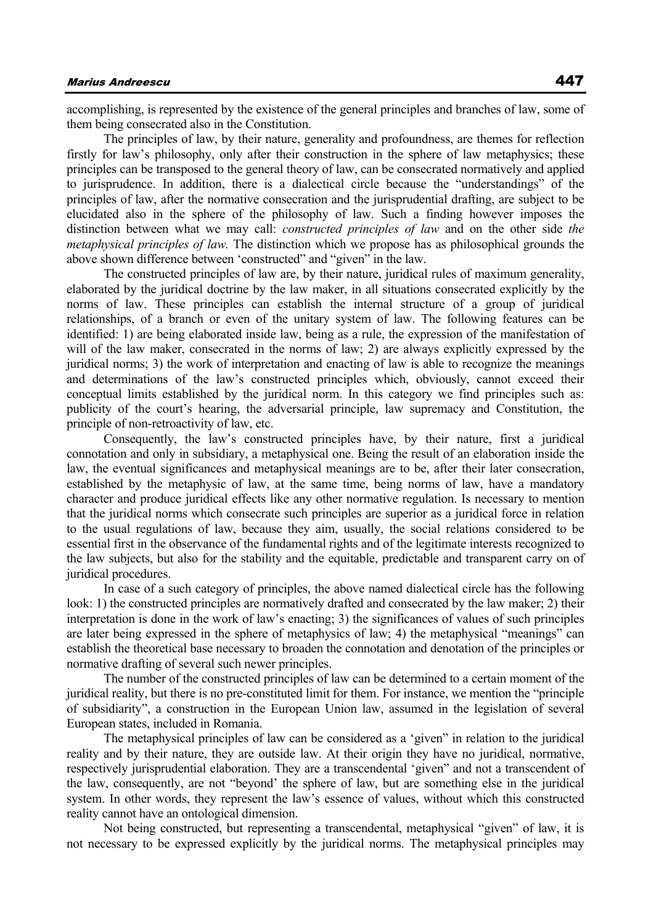accomplishing, is represented by the existence of the general principles and branches of law, some of them being consecrated also in the Constitution.

The principles of law, by their nature, generality and profoundness, are themes for reflection firstly for law's philosophy, only after their construction in the sphere of law metaphysics; these principles can be transposed to the general theory of law, can be consecrated normatively and applied to jurisprudence. In addition, there is a dialectical circle because the "understandings" of the principles of law, after the normative consecration and the jurisprudential drafting, are subject to be elucidated also in the sphere of the philosophy of law. Such a finding however imposes the distinction between what we may call: *constructed principles of law* and on the other side *the metaphysical principles of law.* The distinction which we propose has as philosophical grounds the above shown difference between 'constructed" and "given" in the law.

The constructed principles of law are, by their nature, juridical rules of maximum generality, elaborated by the juridical doctrine by the law maker, in all situations consecrated explicitly by the norms of law. These principles can establish the internal structure of a group of juridical relationships, of a branch or even of the unitary system of law. The following features can be identified: 1) are being elaborated inside law, being as a rule, the expression of the manifestation of will of the law maker, consecrated in the norms of law; 2) are always explicitly expressed by the juridical norms; 3) the work of interpretation and enacting of law is able to recognize the meanings and determinations of the law's constructed principles which, obviously, cannot exceed their conceptual limits established by the juridical norm. In this category we find principles such as: publicity of the court's hearing, the adversarial principle, law supremacy and Constitution, the principle of non-retroactivity of law, etc.

Consequently, the law's constructed principles have, by their nature, first a juridical connotation and only in subsidiary, a metaphysical one. Being the result of an elaboration inside the law, the eventual significances and metaphysical meanings are to be, after their later consecration, established by the metaphysic of law, at the same time, being norms of law, have a mandatory character and produce juridical effects like any other normative regulation. Is necessary to mention that the juridical norms which consecrate such principles are superior as a juridical force in relation to the usual regulations of law, because they aim, usually, the social relations considered to be essential first in the observance of the fundamental rights and of the legitimate interests recognized to the law subjects, but also for the stability and the equitable, predictable and transparent carry on of juridical procedures.

In case of a such category of principles, the above named dialectical circle has the following look: 1) the constructed principles are normatively drafted and consecrated by the law maker; 2) their interpretation is done in the work of law's enacting; 3) the significances of values of such principles are later being expressed in the sphere of metaphysics of law; 4) the metaphysical "meanings" can establish the theoretical base necessary to broaden the connotation and denotation of the principles or normative drafting of several such newer principles.

The number of the constructed principles of law can be determined to a certain moment of the juridical reality, but there is no pre-constituted limit for them. For instance, we mention the "principle of subsidiarity", a construction in the European Union law, assumed in the legislation of several European states, included in Romania.

The metaphysical principles of law can be considered as a 'given" in relation to the juridical reality and by their nature, they are outside law. At their origin they have no juridical, normative, respectively jurisprudential elaboration. They are a transcendental 'given" and not a transcendent of the law, consequently, are not "beyond' the sphere of law, but are something else in the juridical system. In other words, they represent the law's essence of values, without which this constructed reality cannot have an ontological dimension.

Not being constructed, but representing a transcendental, metaphysical "given" of law, it is not necessary to be expressed explicitly by the juridical norms. The metaphysical principles may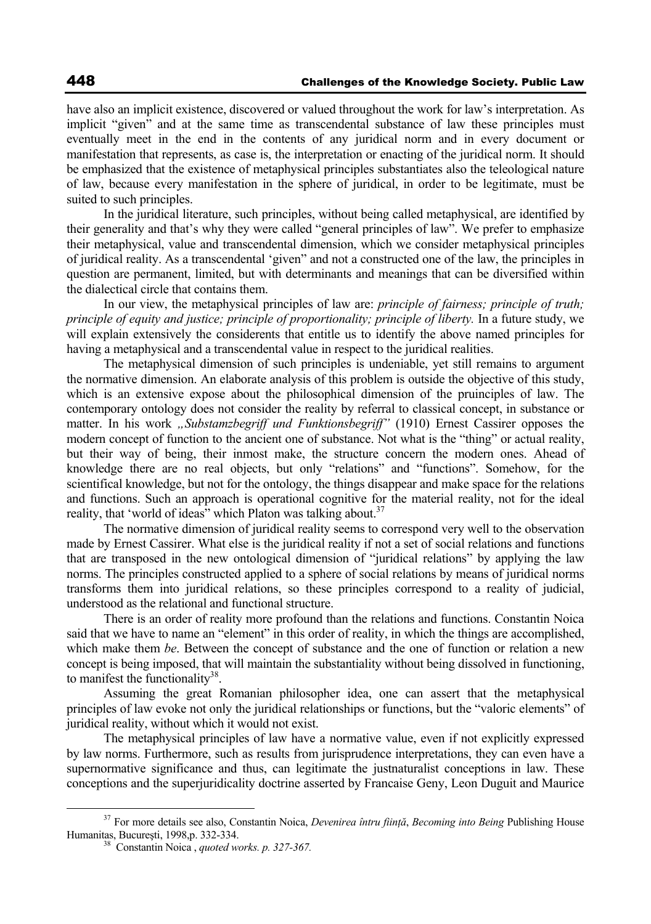have also an implicit existence, discovered or valued throughout the work for law's interpretation. As implicit "given" and at the same time as transcendental substance of law these principles must eventually meet in the end in the contents of any juridical norm and in every document or manifestation that represents, as case is, the interpretation or enacting of the juridical norm. It should be emphasized that the existence of metaphysical principles substantiates also the teleological nature of law, because every manifestation in the sphere of juridical, in order to be legitimate, must be suited to such principles.

In the juridical literature, such principles, without being called metaphysical, are identified by their generality and that's why they were called "general principles of law". We prefer to emphasize their metaphysical, value and transcendental dimension, which we consider metaphysical principles of juridical reality. As a transcendental 'given" and not a constructed one of the law, the principles in question are permanent, limited, but with determinants and meanings that can be diversified within the dialectical circle that contains them.

In our view, the metaphysical principles of law are: *principle of fairness; principle of truth; principle of equity and justice; principle of proportionality; principle of liberty.* In a future study, we will explain extensively the considerents that entitle us to identify the above named principles for having a metaphysical and a transcendental value in respect to the juridical realities.

The metaphysical dimension of such principles is undeniable, yet still remains to argument the normative dimension. An elaborate analysis of this problem is outside the objective of this study, which is an extensive expose about the philosophical dimension of the pruinciples of law. The contemporary ontology does not consider the reality by referral to classical concept, in substance or matter. In his work "Substamzbegriff und Funktionsbegriff" (1910) Ernest Cassirer opposes the modern concept of function to the ancient one of substance. Not what is the "thing" or actual reality, but their way of being, their inmost make, the structure concern the modern ones. Ahead of knowledge there are no real objects, but only "relations" and "functions". Somehow, for the scientifical knowledge, but not for the ontology, the things disappear and make space for the relations and functions. Such an approach is operational cognitive for the material reality, not for the ideal reality, that 'world of ideas'' which Platon was talking about.<sup>37</sup>

The normative dimension of juridical reality seems to correspond very well to the observation made by Ernest Cassirer. What else is the juridical reality if not a set of social relations and functions that are transposed in the new ontological dimension of "juridical relations" by applying the law norms. The principles constructed applied to a sphere of social relations by means of juridical norms transforms them into juridical relations, so these principles correspond to a reality of judicial, understood as the relational and functional structure.

There is an order of reality more profound than the relations and functions. Constantin Noica said that we have to name an "element" in this order of reality, in which the things are accomplished, which make them *be*. Between the concept of substance and the one of function or relation a new concept is being imposed, that will maintain the substantiality without being dissolved in functioning, to manifest the functionality<sup>38</sup>.

Assuming the great Romanian philosopher idea, one can assert that the metaphysical principles of law evoke not only the juridical relationships or functions, but the "valoric elements" of juridical reality, without which it would not exist.

The metaphysical principles of law have a normative value, even if not explicitly expressed by law norms. Furthermore, such as results from jurisprudence interpretations, they can even have a supernormative significance and thus, can legitimate the justnaturalist conceptions in law. These conceptions and the superjuridicality doctrine asserted by Francaise Geny, Leon Duguit and Maurice

<sup>&</sup>lt;sup>37</sup> For more details see also, Constantin Noica, *Devenirea întru ființă*, *Becoming into Being* Publishing House Humanitas, București, 1998,p. 332-334.

<sup>&</sup>lt;sup>38</sup> Constantin Noica , *quoted works. p. 327-367.*